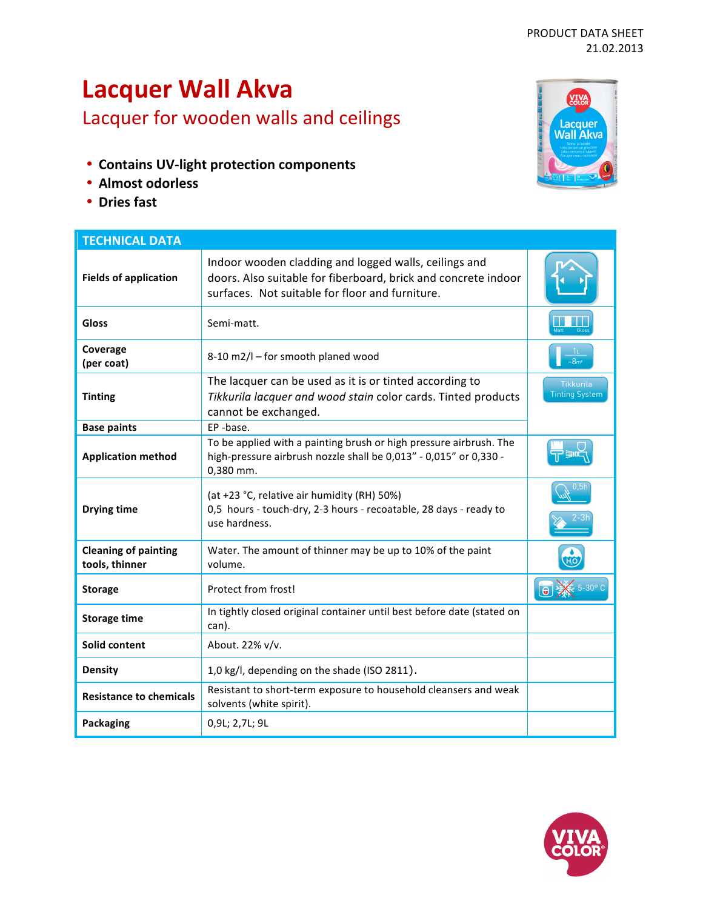# PRODUCT DATA SHEET 21.02.2013

# **Lacquer Wall Akva**

Lacquer for wooden walls and ceilings

- **Contains UV-light protection components**
- **Almost odorless**
- **Dries fast**



| <b>TECHNICAL DATA</b>                         |                                                                                                                                                                            |                                           |
|-----------------------------------------------|----------------------------------------------------------------------------------------------------------------------------------------------------------------------------|-------------------------------------------|
| <b>Fields of application</b>                  | Indoor wooden cladding and logged walls, ceilings and<br>doors. Also suitable for fiberboard, brick and concrete indoor<br>surfaces. Not suitable for floor and furniture. |                                           |
| <b>Gloss</b>                                  | Semi-matt.                                                                                                                                                                 |                                           |
| Coverage<br>(per coat)                        | 8-10 m2/l - for smooth planed wood                                                                                                                                         | $-8m2$                                    |
| <b>Tinting</b>                                | The lacquer can be used as it is or tinted according to<br>Tikkurila lacquer and wood stain color cards. Tinted products<br>cannot be exchanged.                           | <b>Tikkurila</b><br><b>Tinting System</b> |
| <b>Base paints</b>                            | EP-base.                                                                                                                                                                   |                                           |
| <b>Application method</b>                     | To be applied with a painting brush or high pressure airbrush. The<br>high-pressure airbrush nozzle shall be 0,013" - 0,015" or 0,330 -<br>0,380 mm.                       |                                           |
| <b>Drying time</b>                            | (at +23 °C, relative air humidity (RH) 50%)<br>0,5 hours - touch-dry, 2-3 hours - recoatable, 28 days - ready to<br>use hardness.                                          |                                           |
| <b>Cleaning of painting</b><br>tools, thinner | Water. The amount of thinner may be up to 10% of the paint<br>volume.                                                                                                      |                                           |
| <b>Storage</b>                                | Protect from frost!                                                                                                                                                        |                                           |
| <b>Storage time</b>                           | In tightly closed original container until best before date (stated on<br>can).                                                                                            |                                           |
| Solid content                                 | About. 22% v/v.                                                                                                                                                            |                                           |
| <b>Density</b>                                | 1,0 kg/l, depending on the shade (ISO 2811).                                                                                                                               |                                           |
| <b>Resistance to chemicals</b>                | Resistant to short-term exposure to household cleansers and weak<br>solvents (white spirit).                                                                               |                                           |
| <b>Packaging</b>                              | 0,9L; 2,7L; 9L                                                                                                                                                             |                                           |